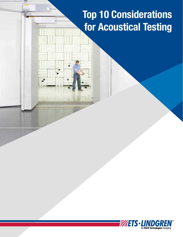# Top 10 Considerations for Acoustical Testing

 $\cdot$   $\cdot$ 

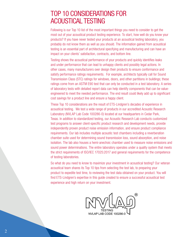# TOP 10 CONSIDERATIONS FOR ACOUSTICAL TESTING

Following is our Top 10 list of the most important things you need to consider to get the most out of your acoustical product testing experience. To start, how well do you know your products? If you have never tested your products at an acoustical testing laboratory, you probably do not know them as well as you should. The information gained from acoustical testing is an essential part of architectural specifying and manufacturing and can have an impact on your clients' satisfaction, contracts, and bottom line.

Testing shows the acoustical performance of your products and quickly identifies leaks and under performance that can lead to unhappy clients and possibly legal actions. In other cases, many manufacturers over design their products to ensure conformance and satisfy performance ratings requirements. For example, architects typically call for Sound Transmission Class (STC) ratings for windows, doors, and other partitions in buildings; these ratings come from an ASTM E90 test that can only be conducted in a test laboratory. A series of laboratory tests with detailed report data can help identify components that can be valueengineered to meet the needed performance. The end result could likely add up to significant cost savings for a product line and ensure a happy client.

These Top 10 considerations are the result of ETS-Lindgren's decades of experience in acoustical testing. We test a wide range of products in our accredited Acoustic Research Laboratory (NVLAP Lab Code 100286-0) located at our headquarters in Cedar Park, Texas. In addition to standardized testing, our Acoustic Research Lab conducts customized test programs to answer client-specific product research and development needs, provide independently proven product noise emission information, and ensure product compliance requirements. Our lab includes multiple acoustic test chambers including a reverberation chamber suite used for determining sound transmission loss, sound absorption, and noise isolation. The lab also houses a hemi-anechoic chamber used to measure noise emissions and sound power determinations. The entire laboratory operates under a quality system that meets the strict requirements of ISO/IEC 17025:2017 and general requirements for the competence of testing laboratories.

So what do you need to know to maximize your investment in acoustical testing? Our veteran acoustical team shares its Top 10 tips from selecting the test lab, to preparing your product to expedite test time, to reviewing the test data obtained on your product. You will find ETS-Lindgren's expertise in this guide created to ensure a successful acoustical test experience and high return on your investment.

NVLAP LAB CODE 100286-0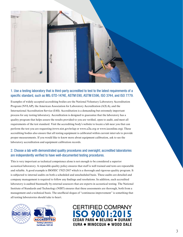

# 1. Use a testing laboratory that is third-party accredited to test to the latest requirements of a specific standard, such as MIL-STD-1474E, ASTM E90, ASTM E596, ISO 3744, and ISO 7779.

Examples of widely accepted accrediting bodies are the National Voluntary Laboratory Accreditation Program (NVLAP), the American Association for Laboratory Accreditation (A2LA), and the International Accreditation Service (IAS). Accreditation is a demanding but extremely important process for any testing laboratory. Accreditation is designed to guarantee that the laboratory has a quality program that helps assure the results provided to you are verified, open to audit, and meet all requirements of the test standard. Visit the accrediting body's website to locate a lab near you that can perform the test you are requesting (www.nist.gov/nvlap or www.a2la.org or www.iasonline.org). These accrediting bodies also ensure that all testing equipment is calibrated within current intervals to provide proper measurements. If you would like to know more about equipment calibration, ask to see the laboratory accreditation and equipment calibration records.

## 2. Choose a lab with demonstrated quality procedures and oversight; accredited laboratories are independently verified to have well-documented testing procedures.

This is very important as technical competence alone is not enough to be considered a superior acoustical laboratory. A reputable quality policy ensures that staff is well trained and tests are repeatable and reliable. A good example is ISO/IEC 17025:2017 which is a thorough and rigorous quality program. It is subjected to internal audits on both a scheduled and unscheduled basis. These audits are detailed and company management is required to follow any findings and resolutions. In addition, each accredited laboratory is audited biannually by external assessors that are experts in acoustical testing. The National Institute of Standards and Technology (NIST) ensures that these assessments are thorough, both from a management and a technical basis. The unofficial slogan of "continuous improvement" is something that all testing laboratories should take to heart.





**CERTIFIED COMPANY ISO 9001:2015 CEDAR PARK**  $\bullet$  **BEIJING**  $\bullet$  **DURANT EURA MINOCQUA WOOD DALE**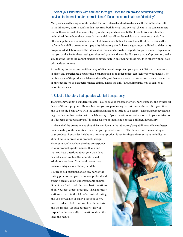#### 3. Select your laboratory with care and foresight. Does the lab provide acoustical testing services for internal and/or external clients? Does the lab maintain confidentiality?

Many acoustical testing laboratories test for both internal and external clients. If that is the case, talk to the laboratory staff to confirm that they treat both internal and external clients in the same manner; that is, the same level of service, integrity of staffing, and confidentially of results are unmistakably maintained throughout the process. It is essential that all results and data are stored separately from other computer users to maintain control of this confidentiality. Ensure that a third party verifies the lab's confidentiality program. A top quality laboratory should have a vigorous, established confidentiality program. At all laboratories, the information, data, and accredited reports are yours alone. Keep in mind that you paid a fee for these testing services and you own the results. For your product's protection, make sure that the testing lab cannot discuss or disseminate in any manner these results to others without your prior written consent.

Accrediting bodies assure confidentiality of client results to protect your product. With strict controls in place, any experienced acoustical lab can function as an independent test facility for your needs. The performance of the products a lab tests should be just that — a metric that stands on its own irrespective of any specific job or past performance claims. This is the only fair and impartial way to test for all laboratory clients.

#### 4. Select a laboratory that operates with full transparency.

Transparency cannot be underestimated. You should be welcome to visit, participate in, and witness all facets of the test program. Remember that you are purchasing the test time at the lab. It is your time and you should be involved with the testing as much or as little as you desire. This transparency should begin with your first contact with the laboratory. If your questions are not answered to your satisfaction or if it seems the laboratory staff is being evasive or impatient, contact a different laboratory.

At the end of the program, you should feel confident in the laboratory's capabilities and have a better understanding of the acoustical data that your product received. The data is more than a rating of your product. It provides insight into how your product is performing and can serve as an indicator

about how to improve your product's design. Make sure you know how the data corresponds to your product's performance. If you find that you have questions about your data days or weeks later, contact the laboratory and ask those questions. You should never have unanswered questions about your data.

Be sure to ask questions about any part of the testing process that you do not comprehend and expect a technical but understandable answer. Do not be afraid to ask the most basic questions about your test or test program. The laboratory staff are experts in the field of acoustical testing and you should ask as many questions as you need in order to feel comfortable with the tests and the results. Good laboratory staff will respond enthusiastically to questions about the tests and results.

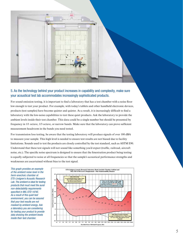

## 5. As the technology behind your product increases in capability and complexity, make sure your acoustical test lab accommodates increasingly sophisticated products.

For sound emission testing, it is important to find a laboratory that has a test chamber with a noise floor low enough to test your product. For example, with today's tablets and other handheld electronic devices, products (test samples) have become quieter and quieter. As a result, it is increasingly difficult to find a laboratory with the low-noise capabilities to test these quiet products. Ask the laboratory to provide the ambient levels inside their test chamber. This data could be a single number but should be presented by frequency in 1/1 octave, 1/3 octave, or narrow bands. Make sure that the laboratory can prove sufficient measurement headroom in the bands you need tested.

For transmission loss testing, be aware that the testing laboratory will produce signals of over 100 dBA to measure your sample. This high level is needed to ensure test results are not biased due to facility limitations. Sounds used to test the products are closely controlled by the test standard, such as ASTM E90. Understand that these test signals will not sound like something you'd expect (traffic, railroad, aircraft noise, etc.). The specific noise spectrum is designed to ensure that the fenestration product being testing is equally subjected to noise at all frequencies so that the sample's acoustical performance strengths and weaknesses are ascertained without bias to the test signal.

*This graph provides an example of the ambient noise level in the hemi-anechoic chamber at ETS-Lindgren's Acoustic Research Lab. The ambient is ideal for testing products that must meet the aural non-detectability requirements*  specified in MIL-STD-1474E. *As a result of this quiet test environment, you can be assured that your test results are not masked by ambient energy. Ask a laboratory you are considering for testing your product to provide data showing the ambient levels inside their test chamber.*

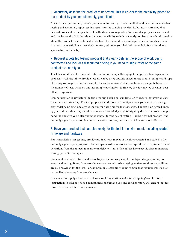## 6. Accurately describe the product to be tested. This is crucial to the credibility placed on the product by you and, ultimately, your clients.

You are the expert in the products you send in for testing. The lab staff should be expert in acoustical testing and accurately report testing results for the sample provided. Laboratory staff should be deemed proficient in the specific test methods you are requesting to guarantee proper measurements and precise results. It is the laboratory's responsibility to independently confirm as much information about the products as is technically feasible. There should be no ambiguity in what was tested and what was reported. Sometimes the laboratory will seek your help with sample information that is specific to your industry.

## 7. Request a detailed testing proposal that clearly defines the scope of work being contracted and includes discounted pricing if you need multiple tests of the same product size and type.

The lab should be able to include information on sample throughput and price advantages in the proposal. Ask the lab to provide test efficiency price options based on the product sample and type of testing you require. For one sample, it may be more cost effective to receive a quote based on the number of tests while on another sample paying for lab time by the day may be the most cost effective approach.

Communication is key before the test program begins or is undertaken to ensure that everyone has the same understanding. The test proposal should cover all configurations you anticipate testing, clearly define pricing, and advise the appropriate time for the test series. The test plan agreed upon by you and the laboratory should demonstrate knowledge and foresight by the lab on proper sample handling and give you a clear point of contact for the day of testing. Having a formal proposal and mutually agreed upon test plan make the entire test program much quicker and more efficient.

#### 8. Have your product test samples ready for the test lab environment, including related firmware and hardware.

For transmission loss testing, provide product test samples of the size requested and stated in the mutually agreed upon proposal. For example, most laboratories have specific size requirements and deviations from the agreed upon size can delay testing. Efficient labs have specific sizes to increase throughput of test samples.

For sound emission testing, make sure to provide working samples configured appropriately for acoustical testing. If any firmware changes are needed during testing, make sure those capabilities are also provided for the test. For example, an electronic product sample that requires multiple fan curves likely involves firmware changes.

Remember to supply all associated hardware for operation and set-up shipping/sample return instructions in advance. Good communication between you and the laboratory will ensure that test results are received in a timely manner.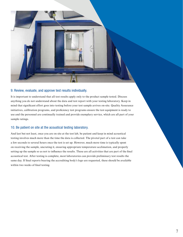

#### 9. Review, evaluate, and approve test results individually.

It is important to understand that all test results apply only to the product sample tested. Discuss anything you do not understand about the data and test report with your testing laboratory. Keep in mind that significant effort goes into testing before your test sample arrives on-site. Quality Assurance initiatives, calibration programs, and proficiency test programs ensure the test equipment is ready to use and the personnel are continually trained and provide exemplary service, which are all part of your sample ratings.

#### 10. Be patient on site at the acoustical testing laboratory.

And last but not least, once you are on site at the test lab, be patient and keep in mind acoustical testing involves much more than the time the data is collected. The pivotal part of a test can take a few seconds to several hours once the test is set up. However, much more time is typically spent on receiving the sample, uncrating it, ensuring appropriate temperature acclimation, and properly setting up the sample so as not to influence the results. These are all activities that are part of the final acoustical test. After testing is complete, most laboratories can provide preliminary test results the same day. If final reports bearing the accrediting body's logo are requested, these should be available within two weeks of final testing.